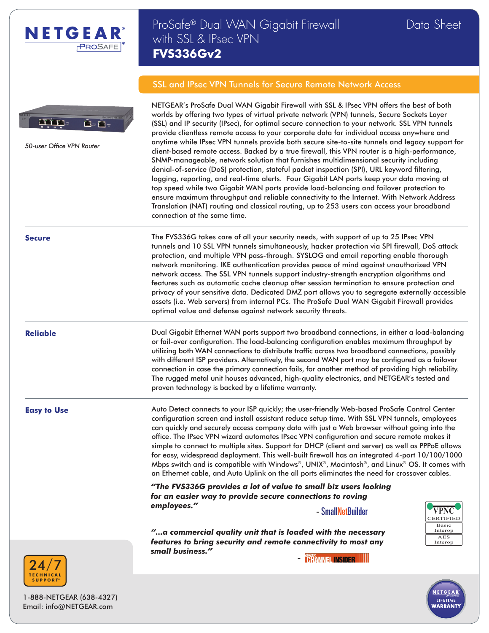

# ProSafe® Dual WAN Gigabit Firewall Data Sheet with SSL & IPsec VPN **FVS336Gv2**



*50-user Office VPN Router*

SSL and IPsec VPN Tunnels for Secure Remote Network Access

NETGEAR's ProSafe Dual WAN Gigabit Firewall with SSL & IPsec VPN offers the best of both worlds by offering two types of virtual private network (VPN) tunnels, Secure Sockets Layer (SSL) and IP security (IPsec), for optimal secure connection to your network. SSL VPN tunnels provide clientless remote access to your corporate data for individual access anywhere and anytime while IPsec VPN tunnels provide both secure site-to-site tunnels and legacy support for client-based remote access. Backed by a true firewall, this VPN router is a high-performance, SNMP-manageable, network solution that furnishes multidimensional security including denial-of-service (DoS) protection, stateful packet inspection (SPI), URL keyword filtering, logging, reporting, and real-time alerts. Four Gigabit LAN ports keep your data moving at top speed while two Gigabit WAN ports provide load-balancing and failover protection to ensure maximum throughput and reliable connectivity to the Internet. With Network Address Translation (NAT) routing and classical routing, up to 253 users can access your broadband connection at the same time.

**Secure** The FVS336G takes care of all your security needs, with support of up to 25 IPsec VPN tunnels and 10 SSL VPN tunnels simultaneously, hacker protection via SPI firewall, DoS attack protection, and multiple VPN pass-through. SYSLOG and email reporting enable thorough network monitoring. IKE authentication provides peace of mind against unauthorized VPN network access. The SSL VPN tunnels support industry-strength encryption algorithms and features such as automatic cache cleanup after session termination to ensure protection and privacy of your sensitive data. Dedicated DMZ port allows you to segregate externally accessible assets (i.e. Web servers) from internal PCs. The ProSafe Dual WAN Gigabit Firewall provides optimal value and defense against network security threats.

**Reliable** Dual Gigabit Ethernet WAN ports support two broadband connections, in either a load-balancing or fail-over configuration. The load-balancing configuration enables maximum throughput by utilizing both WAN connections to distribute traffic across two broadband connections, possibly with different ISP providers. Alternatively, the second WAN port may be configured as a failover connection in case the primary connection fails, for another method of providing high reliability. The rugged metal unit houses advanced, high-quality electronics, and NETGEAR's tested and proven technology is backed by a lifetime warranty.

**Easy to Use Liet Auto Detect connects to your ISP quickly; the user-friendly Web-based ProSafe Control Center** configuration screen and install assistant reduce setup time. With SSL VPN tunnels, employees can quickly and securely access company data with just a Web browser without going into the office. The IPsec VPN wizard automates IPsec VPN configuration and secure remote makes it simple to connect to multiple sites. Support for DHCP (client and server) as well as PPPoE allows for easy, widespread deployment. This well-built firewall has an integrated 4-port 10/100/1000 Mbps switch and is compatible with Windows®, UNIX®, Macintosh®, and Linux® OS. It comes with an Ethernet cable, and Auto Uplink on the all ports eliminates the need for crossover cables.

> *"The FVS336G provides a lot of value to small biz users looking for an easier way to provide secure connections to roving employees."* - SmallNetBuilder

*"...a commercial quality unit that is loaded with the necessary features to bring security and remote connectivity to most any small business."* -





LIFETIME **VARRANT** 

\*



1-888-NETGEAR (638-4327) Email: info@NETGEAR.com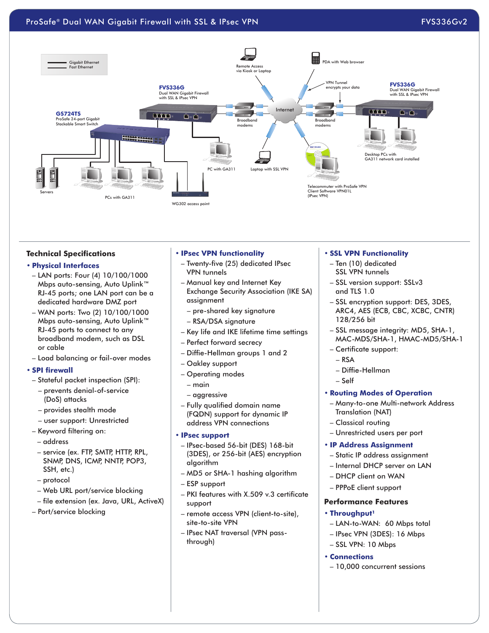# ProSafe® Dual WAN Gigabit Firewall with SSL & IPsec VPN FOSS ARE RESERVED FOSS336Gv2



#### **Technical Specifications**

# **• Physical Interfaces**

- LAN ports: Four (4) 10/100/1000 Mbps auto-sensing, Auto Uplink™ RJ-45 ports; one LAN port can be a dedicated hardware DMZ port
- WAN ports: Two (2) 10/100/1000 Mbps auto-sensing, Auto Uplink™ RJ-45 ports to connect to any broadband modem, such as DSL or cable
- Load balancing or fail-over modes

#### **• SPI firewall**

- Stateful packet inspection (SPI):
	- prevents denial-of-service (DoS) attacks
	- provides stealth mode
- user support: Unrestricted
- Keyword filtering on:
- address
- service (ex. FTP, SMTP, HTTP, RPL, SNMP, DNS, ICMP, NNTP, POP3, SSH, etc.)
- protocol
- Web URL port/service blocking
- file extension (ex. Java, URL, ActiveX)
- Port/service blocking

#### **• IPsec VPN functionality**

- Twenty-five (25) dedicated IPsec VPN tunnels
- Manual key and Internet Key Exchange Security Association (IKE SA) assignment
	- pre-shared key signature
- RSA/DSA signature
- Key life and IKE lifetime time settings
- Perfect forward secrecy
- Diffie-Hellman groups 1 and 2
- Oakley support
- Operating modes
	- main
- aggressive
- Fully qualified domain name (FQDN) support for dynamic IP address VPN connections

#### **• IPsec support**

- IPsec-based 56-bit (DES) 168-bit (3DES), or 256-bit (AES) encryption algorithm
- MD5 or SHA-1 hashing algorithm
- ESP support
- PKI features with X.509 v.3 certificate support
- remote access VPN (client-to-site), site-to-site VPN
- IPsec NAT traversal (VPN passthrough)

#### **• SSL VPN Functionality**

- Ten (10) dedicated SSL VPN tunnels
- SSL version support: SSLv3 and TLS 1.0
- SSL encryption support: DES, 3DES, ARC4, AES (ECB, CBC, XCBC, CNTR) 128/256 bit
- SSL message integrity: MD5, SHA-1, MAC-MDS/SHA-1, HMAC-MD5/SHA-1
- Certificate support:
	- RSA
	- Diffie-Hellman
- Self

# **• Routing Modes of Operation**

- Many-to-one Multi-network Address Translation (NAT)
- Classical routing
- Unrestricted users per port

# **• IP Address Assignment**

- Static IP address assignment
- Internal DHCP server on LAN
- DHCP client on WAN
- PPPoE client support

# **Performance Features**

# **• Throughput1**

- LAN-to-WAN: 60 Mbps total
- IPsec VPN (3DES): 16 Mbps
- SSL VPN: 10 Mbps

#### **• Connections**

– 10,000 concurrent sessions